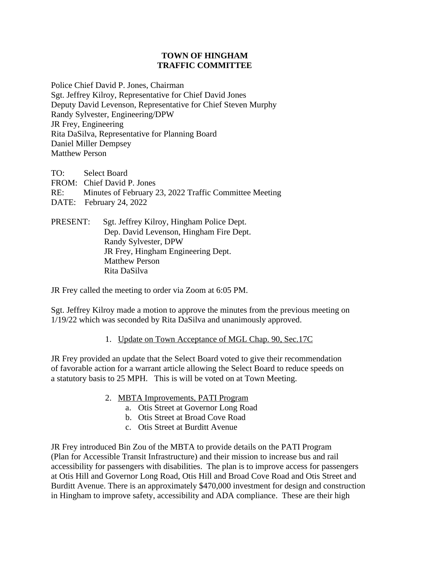## **TOWN OF HINGHAM TRAFFIC COMMITTEE**

Police Chief David P. Jones, Chairman Sgt. Jeffrey Kilroy, Representative for Chief David Jones Deputy David Levenson, Representative for Chief Steven Murphy Randy Sylvester, Engineering/DPW JR Frey, Engineering Rita DaSilva, Representative for Planning Board Daniel Miller Dempsey Matthew Person

TO: Select Board FROM: Chief David P. Jones RE: Minutes of February 23, 2022 Traffic Committee Meeting DATE: February 24, 2022

PRESENT: Sgt. Jeffrey Kilroy, Hingham Police Dept. Dep. David Levenson, Hingham Fire Dept. Randy Sylvester, DPW JR Frey, Hingham Engineering Dept. Matthew Person Rita DaSilva

JR Frey called the meeting to order via Zoom at 6:05 PM.

Sgt. Jeffrey Kilroy made a motion to approve the minutes from the previous meeting on 1/19/22 which was seconded by Rita DaSilva and unanimously approved.

## 1. Update on Town Acceptance of MGL Chap. 90, Sec.17C

JR Frey provided an update that the Select Board voted to give their recommendation of favorable action for a warrant article allowing the Select Board to reduce speeds on a statutory basis to 25 MPH. This is will be voted on at Town Meeting.

- 2. MBTA Improvements, PATI Program
	- a. Otis Street at Governor Long Road
	- b. Otis Street at Broad Cove Road
	- c. Otis Street at Burditt Avenue

JR Frey introduced Bin Zou of the MBTA to provide details on the PATI Program (Plan for Accessible Transit Infrastructure) and their mission to increase bus and rail accessibility for passengers with disabilities. The plan is to improve access for passengers at Otis Hill and Governor Long Road, Otis Hill and Broad Cove Road and Otis Street and Burditt Avenue. There is an approximately \$470,000 investment for design and construction in Hingham to improve safety, accessibility and ADA compliance. These are their high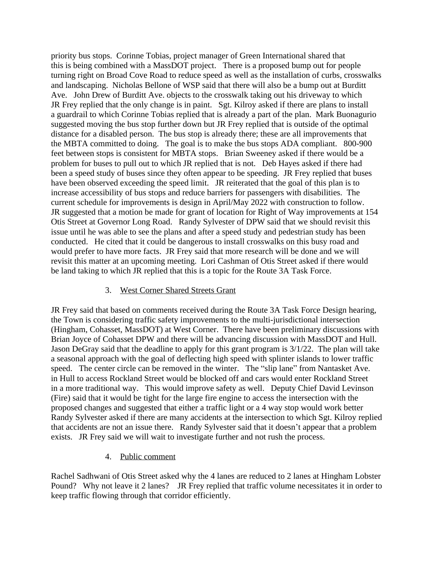priority bus stops. Corinne Tobias, project manager of Green International shared that this is being combined with a MassDOT project. There is a proposed bump out for people turning right on Broad Cove Road to reduce speed as well as the installation of curbs, crosswalks and landscaping. Nicholas Bellone of WSP said that there will also be a bump out at Burditt Ave. John Drew of Burditt Ave. objects to the crosswalk taking out his driveway to which JR Frey replied that the only change is in paint. Sgt. Kilroy asked if there are plans to install a guardrail to which Corinne Tobias replied that is already a part of the plan. Mark Buonagurio suggested moving the bus stop further down but JR Frey replied that is outside of the optimal distance for a disabled person. The bus stop is already there; these are all improvements that the MBTA committed to doing. The goal is to make the bus stops ADA compliant. 800-900 feet between stops is consistent for MBTA stops. Brian Sweeney asked if there would be a problem for buses to pull out to which JR replied that is not. Deb Hayes asked if there had been a speed study of buses since they often appear to be speeding. JR Frey replied that buses have been observed exceeding the speed limit. JR reiterated that the goal of this plan is to increase accessibility of bus stops and reduce barriers for passengers with disabilities. The current schedule for improvements is design in April/May 2022 with construction to follow. JR suggested that a motion be made for grant of location for Right of Way improvements at 154 Otis Street at Governor Long Road. Randy Sylvester of DPW said that we should revisit this issue until he was able to see the plans and after a speed study and pedestrian study has been conducted. He cited that it could be dangerous to install crosswalks on this busy road and would prefer to have more facts. JR Frey said that more research will be done and we will revisit this matter at an upcoming meeting. Lori Cashman of Otis Street asked if there would be land taking to which JR replied that this is a topic for the Route 3A Task Force.

## 3. West Corner Shared Streets Grant

JR Frey said that based on comments received during the Route 3A Task Force Design hearing, the Town is considering traffic safety improvements to the multi-jurisdictional intersection (Hingham, Cohasset, MassDOT) at West Corner. There have been preliminary discussions with Brian Joyce of Cohasset DPW and there will be advancing discussion with MassDOT and Hull. Jason DeGray said that the deadline to apply for this grant program is 3/1/22. The plan will take a seasonal approach with the goal of deflecting high speed with splinter islands to lower traffic speed. The center circle can be removed in the winter. The "slip lane" from Nantasket Ave. in Hull to access Rockland Street would be blocked off and cars would enter Rockland Street in a more traditional way. This would improve safety as well. Deputy Chief David Levinson (Fire) said that it would be tight for the large fire engine to access the intersection with the proposed changes and suggested that either a traffic light or a 4 way stop would work better Randy Sylvester asked if there are many accidents at the intersection to which Sgt. Kilroy replied that accidents are not an issue there. Randy Sylvester said that it doesn't appear that a problem exists. JR Frey said we will wait to investigate further and not rush the process.

## 4. Public comment

Rachel Sadhwani of Otis Street asked why the 4 lanes are reduced to 2 lanes at Hingham Lobster Pound? Why not leave it 2 lanes? JR Frey replied that traffic volume necessitates it in order to keep traffic flowing through that corridor efficiently.